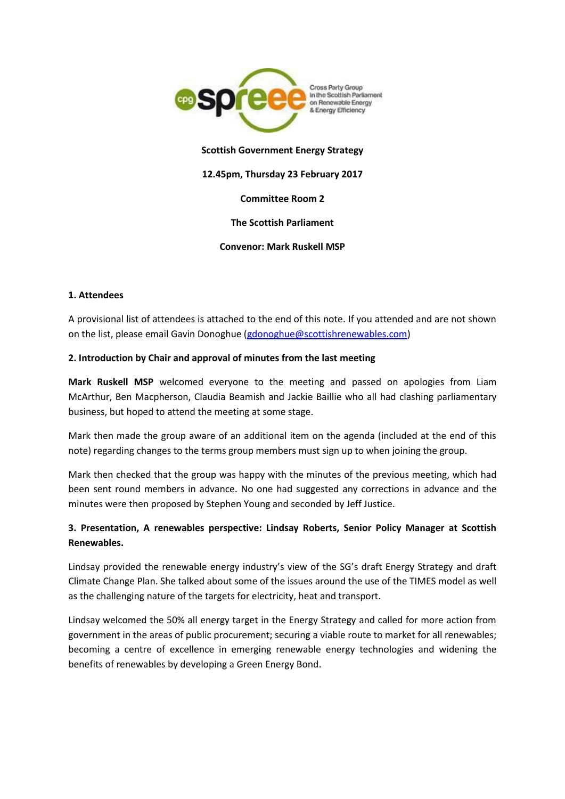

### **Scottish Government Energy Strategy**

#### **12.45pm, Thursday 23 February 2017**

### **Committee Room 2**

### **The Scottish Parliament**

#### **Convenor: Mark Ruskell MSP**

#### **1. Attendees**

A provisional list of attendees is attached to the end of this note. If you attended and are not shown on the list, please email Gavin Donoghue [\(gdonoghue@scottishrenewables.com\)](mailto:gdonoghue@scottishrenewables.com)

#### **2. Introduction by Chair and approval of minutes from the last meeting**

**Mark Ruskell MSP** welcomed everyone to the meeting and passed on apologies from Liam McArthur, Ben Macpherson, Claudia Beamish and Jackie Baillie who all had clashing parliamentary business, but hoped to attend the meeting at some stage.

Mark then made the group aware of an additional item on the agenda (included at the end of this note) regarding changes to the terms group members must sign up to when joining the group.

Mark then checked that the group was happy with the minutes of the previous meeting, which had been sent round members in advance. No one had suggested any corrections in advance and the minutes were then proposed by Stephen Young and seconded by Jeff Justice.

# **3. Presentation, A renewables perspective: Lindsay Roberts, Senior Policy Manager at Scottish Renewables.**

Lindsay provided the renewable energy industry's view of the SG's draft Energy Strategy and draft Climate Change Plan. She talked about some of the issues around the use of the TIMES model as well as the challenging nature of the targets for electricity, heat and transport.

Lindsay welcomed the 50% all energy target in the Energy Strategy and called for more action from government in the areas of public procurement; securing a viable route to market for all renewables; becoming a centre of excellence in emerging renewable energy technologies and widening the benefits of renewables by developing a Green Energy Bond.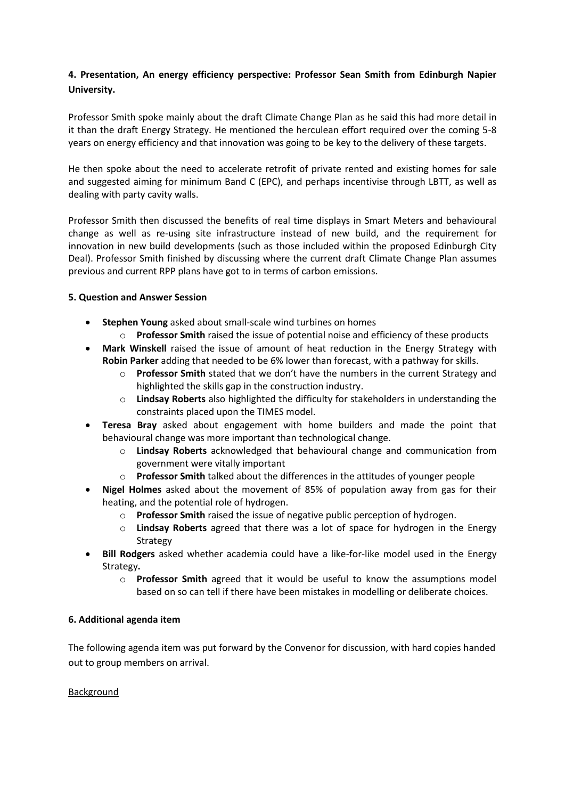# **4. Presentation, An energy efficiency perspective: Professor Sean Smith from Edinburgh Napier University.**

Professor Smith spoke mainly about the draft Climate Change Plan as he said this had more detail in it than the draft Energy Strategy. He mentioned the herculean effort required over the coming 5-8 years on energy efficiency and that innovation was going to be key to the delivery of these targets.

He then spoke about the need to accelerate retrofit of private rented and existing homes for sale and suggested aiming for minimum Band C (EPC), and perhaps incentivise through LBTT, as well as dealing with party cavity walls.

Professor Smith then discussed the benefits of real time displays in Smart Meters and behavioural change as well as re-using site infrastructure instead of new build, and the requirement for innovation in new build developments (such as those included within the proposed Edinburgh City Deal). Professor Smith finished by discussing where the current draft Climate Change Plan assumes previous and current RPP plans have got to in terms of carbon emissions.

## **5. Question and Answer Session**

- **Stephen Young** asked about small-scale wind turbines on homes
	- o **Professor Smith** raised the issue of potential noise and efficiency of these products
- **Mark Winskell** raised the issue of amount of heat reduction in the Energy Strategy with **Robin Parker** adding that needed to be 6% lower than forecast, with a pathway for skills.
	- o **Professor Smith** stated that we don't have the numbers in the current Strategy and highlighted the skills gap in the construction industry.
	- o **Lindsay Roberts** also highlighted the difficulty for stakeholders in understanding the constraints placed upon the TIMES model.
- **Teresa Bray** asked about engagement with home builders and made the point that behavioural change was more important than technological change.
	- o **Lindsay Roberts** acknowledged that behavioural change and communication from government were vitally important
	- o **Professor Smith** talked about the differences in the attitudes of younger people
- **Nigel Holmes** asked about the movement of 85% of population away from gas for their heating, and the potential role of hydrogen.
	- o **Professor Smith** raised the issue of negative public perception of hydrogen.
	- o **Lindsay Roberts** agreed that there was a lot of space for hydrogen in the Energy Strategy
- **Bill Rodgers** asked whether academia could have a like-for-like model used in the Energy Strategy**.**
	- o **Professor Smith** agreed that it would be useful to know the assumptions model based on so can tell if there have been mistakes in modelling or deliberate choices.

# **6. Additional agenda item**

The following agenda item was put forward by the Convenor for discussion, with hard copies handed out to group members on arrival.

### Background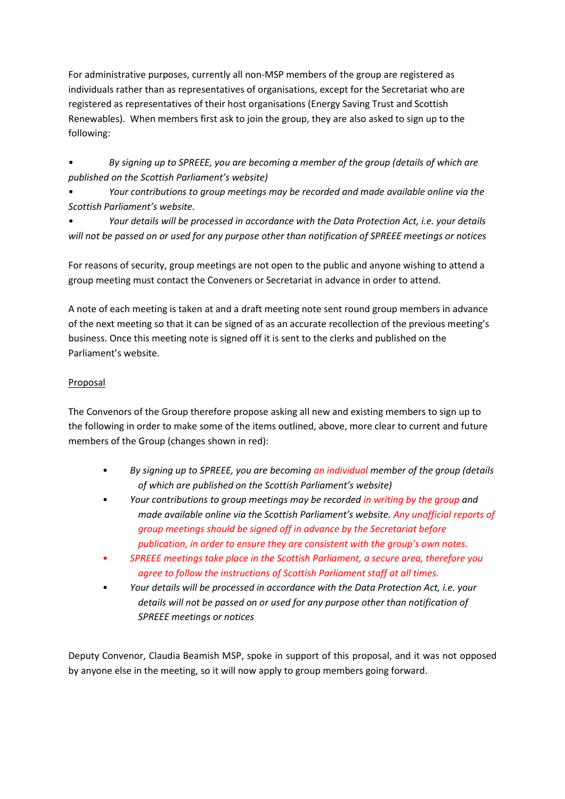For administrative purposes, currently all non-MSP members of the group are registered as individuals rather than as representatives of organisations, except for the Secretariat who are registered as representatives of their host organisations (Energy Saving Trust and Scottish Renewables). When members first ask to join the group, they are also asked to sign up to the following:

• *By signing up to SPREEE, you are becoming a member of the group (details of which are published on the Scottish Parliament's website)*

• *Your contributions to group meetings may be recorded and made available online via the Scottish Parliament's website.*

• *Your details will be processed in accordance with the Data Protection Act, i.e. your details will not be passed on or used for any purpose other than notification of SPREEE meetings or notices*

For reasons of security, group meetings are not open to the public and anyone wishing to attend a group meeting must contact the Conveners or Secretariat in advance in order to attend.

A note of each meeting is taken at and a draft meeting note sent round group members in advance of the next meeting so that it can be signed of as an accurate recollection of the previous meeting's business. Once this meeting note is signed off it is sent to the clerks and published on the Parliament's website.

# Proposal

The Convenors of the Group therefore propose asking all new and existing members to sign up to the following in order to make some of the items outlined, above, more clear to current and future members of the Group (changes shown in red):

- *• By signing up to SPREEE, you are becoming an individual member of the group (details of which are published on the Scottish Parliament's website)*
- *• Your contributions to group meetings may be recorded in writing by the group and made available online via the Scottish Parliament's website. Any unofficial reports of group meetings should be signed off in advance by the Secretariat before publication, in order to ensure they are consistent with the group's own notes.*
- *• SPREEE meetings take place in the Scottish Parliament, a secure area, therefore you agree to follow the instructions of Scottish Parliament staff at all times.*
- *• Your details will be processed in accordance with the Data Protection Act, i.e. your details will not be passed on or used for any purpose other than notification of SPREEE meetings or notices*

Deputy Convenor, Claudia Beamish MSP, spoke in support of this proposal, and it was not opposed by anyone else in the meeting, so it will now apply to group members going forward.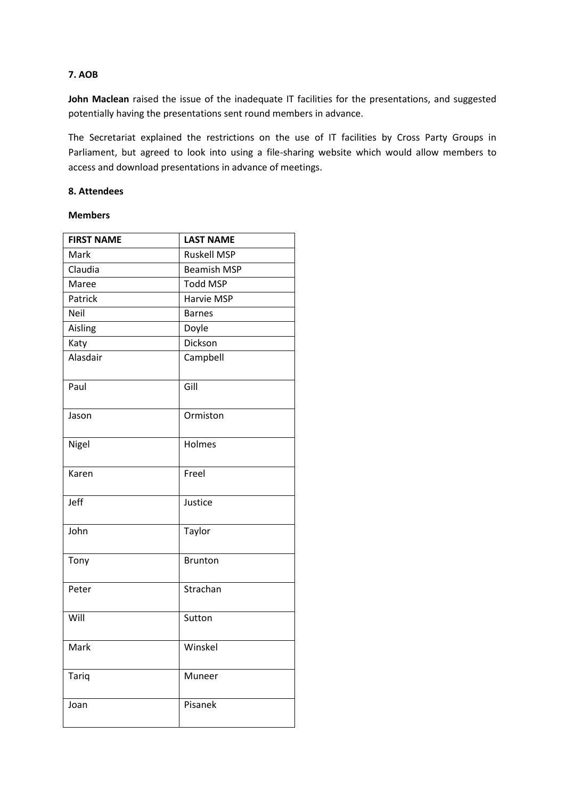## **7. AOB**

John Maclean raised the issue of the inadequate IT facilities for the presentations, and suggested potentially having the presentations sent round members in advance.

The Secretariat explained the restrictions on the use of IT facilities by Cross Party Groups in Parliament, but agreed to look into using a file-sharing website which would allow members to access and download presentations in advance of meetings.

## **8. Attendees**

### **Members**

| <b>FIRST NAME</b> | <b>LAST NAME</b>   |
|-------------------|--------------------|
| Mark              | <b>Ruskell MSP</b> |
| Claudia           | <b>Beamish MSP</b> |
| Maree             | Todd MSP           |
| Patrick           | Harvie MSP         |
| Neil              | <b>Barnes</b>      |
| Aisling           | Doyle              |
| Katy              | Dickson            |
| Alasdair          | Campbell           |
| Paul              | Gill               |
| Jason             | Ormiston           |
| Nigel             | Holmes             |
| Karen             | Freel              |
| Jeff              | Justice            |
| John              | Taylor             |
| Tony              | <b>Brunton</b>     |
| Peter             | Strachan           |
| Will              | Sutton             |
| Mark              | Winskel            |
| Tariq             | Muneer             |
| Joan              | Pisanek            |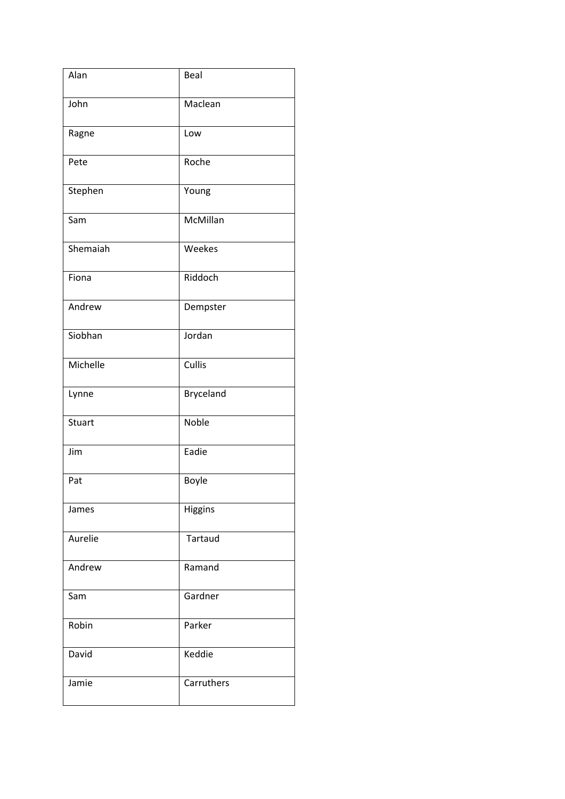| Alan     | Beal       |
|----------|------------|
| John     | Maclean    |
| Ragne    | Low        |
| Pete     | Roche      |
| Stephen  | Young      |
| Sam      | McMillan   |
| Shemaiah | Weekes     |
| Fiona    | Riddoch    |
| Andrew   | Dempster   |
| Siobhan  | Jordan     |
| Michelle | Cullis     |
| Lynne    | Bryceland  |
| Stuart   | Noble      |
| Jim      | Eadie      |
| Pat      | Boyle      |
| James    | Higgins    |
| Aurelie  | Tartaud    |
| Andrew   | Ramand     |
| Sam      | Gardner    |
| Robin    | Parker     |
| David    | Keddie     |
| Jamie    | Carruthers |